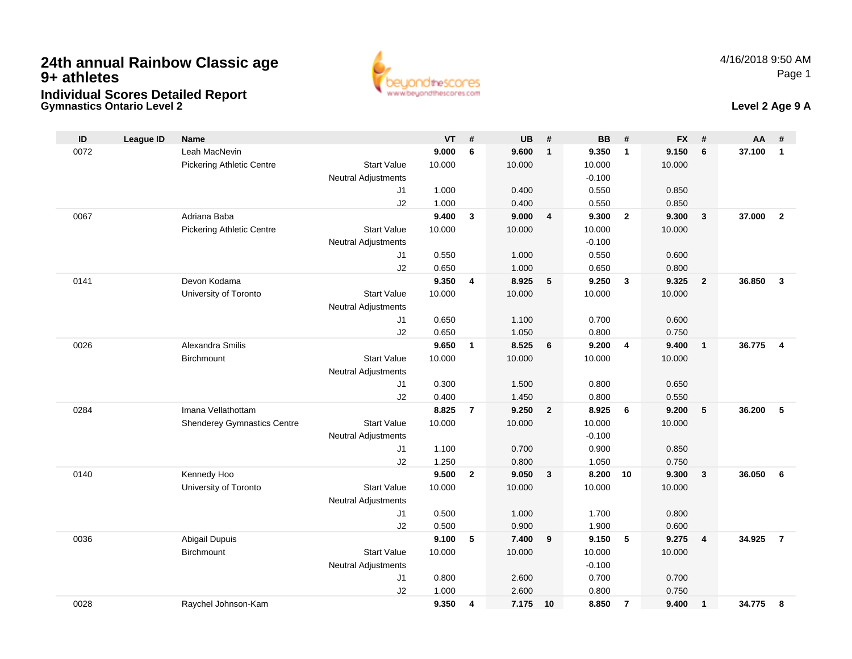

## **Gymnastics Ontario Level 2 Level 2 Age 9 A**

| ID   | League ID | <b>Name</b>                        |                            | <b>VT</b>      | #              | <b>UB</b>      | #                       | <b>BB</b>      | #              | <b>FX</b>      | #                       | AA     | #              |
|------|-----------|------------------------------------|----------------------------|----------------|----------------|----------------|-------------------------|----------------|----------------|----------------|-------------------------|--------|----------------|
| 0072 |           | Leah MacNevin                      |                            | 9.000          | 6              | 9.600          | $\mathbf{1}$            | 9.350          | $\overline{1}$ | 9.150          | 6                       | 37.100 | $\mathbf{1}$   |
|      |           | <b>Pickering Athletic Centre</b>   | <b>Start Value</b>         | 10.000         |                | 10.000         |                         | 10.000         |                | 10.000         |                         |        |                |
|      |           |                                    | <b>Neutral Adjustments</b> |                |                |                |                         | $-0.100$       |                |                |                         |        |                |
|      |           |                                    | J1                         | 1.000          |                | 0.400          |                         | 0.550          |                | 0.850          |                         |        |                |
|      |           |                                    | J2                         | 1.000          |                | 0.400          |                         | 0.550          |                | 0.850          |                         |        |                |
| 0067 |           | Adriana Baba                       |                            | 9.400          | $\mathbf{3}$   | 9.000          | $\overline{\mathbf{4}}$ | 9.300          | $\overline{2}$ | 9.300          | $\mathbf{3}$            | 37.000 | $\overline{2}$ |
|      |           | <b>Pickering Athletic Centre</b>   | <b>Start Value</b>         | 10.000         |                | 10.000         |                         | 10.000         |                | 10.000         |                         |        |                |
|      |           |                                    | <b>Neutral Adjustments</b> |                |                |                |                         | $-0.100$       |                |                |                         |        |                |
|      |           |                                    | J1                         | 0.550          |                | 1.000          |                         | 0.550          |                | 0.600          |                         |        |                |
|      |           |                                    | J2                         | 0.650          |                | 1.000          |                         | 0.650          |                | 0.800          |                         |        |                |
| 0141 |           | Devon Kodama                       |                            | 9.350          | 4              | 8.925          | 5                       | 9.250          | $\mathbf{3}$   | 9.325          | $\overline{2}$          | 36.850 | $\overline{3}$ |
|      |           | University of Toronto              | <b>Start Value</b>         | 10.000         |                | 10.000         |                         | 10.000         |                | 10.000         |                         |        |                |
|      |           |                                    | <b>Neutral Adjustments</b> |                |                |                |                         |                |                |                |                         |        |                |
|      |           |                                    | J1<br>J2                   | 0.650          |                | 1.100          |                         | 0.700          |                | 0.600          |                         |        |                |
| 0026 |           | Alexandra Smilis                   |                            | 0.650<br>9.650 | $\mathbf{1}$   | 1.050<br>8.525 | 6                       | 0.800<br>9.200 | $\overline{4}$ | 0.750<br>9.400 | $\overline{1}$          | 36.775 | $\overline{4}$ |
|      |           | <b>Birchmount</b>                  | <b>Start Value</b>         | 10.000         |                | 10.000         |                         | 10.000         |                | 10.000         |                         |        |                |
|      |           |                                    | <b>Neutral Adjustments</b> |                |                |                |                         |                |                |                |                         |        |                |
|      |           |                                    | J1                         | 0.300          |                | 1.500          |                         | 0.800          |                | 0.650          |                         |        |                |
|      |           |                                    | J2                         | 0.400          |                | 1.450          |                         | 0.800          |                | 0.550          |                         |        |                |
| 0284 |           | Imana Vellathottam                 |                            | 8.825          | $\overline{7}$ | 9.250          | $\mathbf{2}$            | 8.925          | 6              | 9.200          | 5                       | 36.200 | 5              |
|      |           | <b>Shenderey Gymnastics Centre</b> | <b>Start Value</b>         | 10.000         |                | 10.000         |                         | 10.000         |                | 10.000         |                         |        |                |
|      |           |                                    | <b>Neutral Adjustments</b> |                |                |                |                         | $-0.100$       |                |                |                         |        |                |
|      |           |                                    | J1                         | 1.100          |                | 0.700          |                         | 0.900          |                | 0.850          |                         |        |                |
|      |           |                                    | J2                         | 1.250          |                | 0.800          |                         | 1.050          |                | 0.750          |                         |        |                |
| 0140 |           | Kennedy Hoo                        |                            | 9.500          | $\overline{2}$ | 9.050          | $\mathbf{3}$            | 8.200          | 10             | 9.300          | $\overline{\mathbf{3}}$ | 36.050 | - 6            |
|      |           | University of Toronto              | <b>Start Value</b>         | 10.000         |                | 10.000         |                         | 10.000         |                | 10.000         |                         |        |                |
|      |           |                                    | <b>Neutral Adjustments</b> |                |                |                |                         |                |                |                |                         |        |                |
|      |           |                                    | J1                         | 0.500          |                | 1.000          |                         | 1.700          |                | 0.800          |                         |        |                |
|      |           |                                    | J2                         | 0.500          |                | 0.900          |                         | 1.900          |                | 0.600          |                         |        |                |
| 0036 |           | Abigail Dupuis                     |                            | 9.100          | 5              | 7.400          | 9                       | 9.150          | $-5$           | 9.275          | $\overline{4}$          | 34.925 | $\overline{7}$ |
|      |           | <b>Birchmount</b>                  | <b>Start Value</b>         | 10.000         |                | 10.000         |                         | 10.000         |                | 10.000         |                         |        |                |
|      |           |                                    | <b>Neutral Adjustments</b> |                |                |                |                         | $-0.100$       |                |                |                         |        |                |
|      |           |                                    | J1                         | 0.800          |                | 2.600          |                         | 0.700          |                | 0.700          |                         |        |                |
|      |           |                                    | J2                         | 1.000          |                | 2.600          |                         | 0.800          |                | 0.750          |                         |        |                |
| 0028 |           | Raychel Johnson-Kam                |                            | 9.350          | $\overline{4}$ | 7.175 10       |                         | 8.850          | $\overline{7}$ | 9.400          | $\mathbf{1}$            | 34.775 | -8             |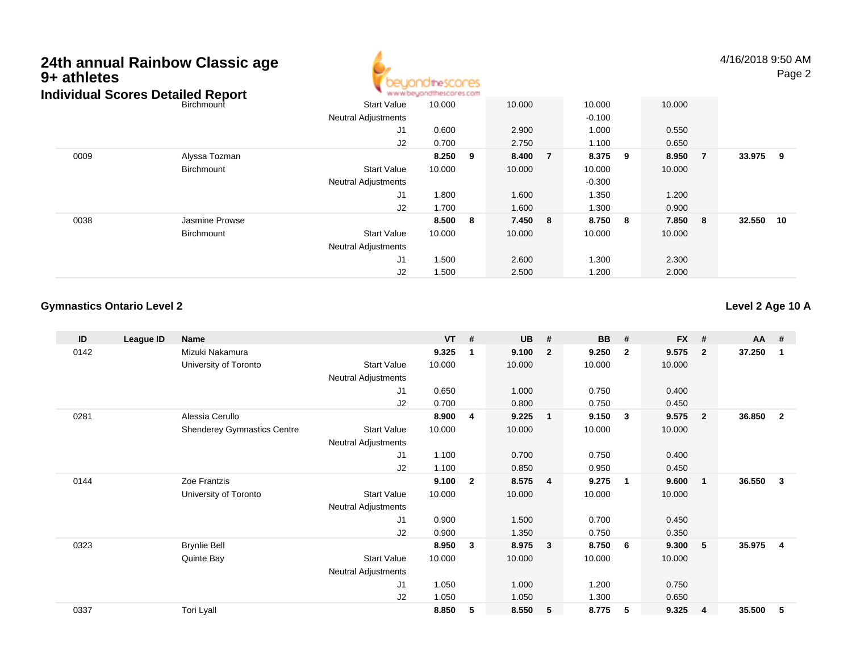# **24th annual Rainbow Classic age 9+ athletes**



4/16/2018 9:50 AMPage 2

|      | Individual Scores Detailed Report |                            | www.beyondthescores.com |     |        |              |         |                |        |     |
|------|-----------------------------------|----------------------------|-------------------------|-----|--------|--------------|---------|----------------|--------|-----|
|      | Birchmount                        | Start Value                | 10.000                  |     | 10.000 | 10.000       | 10.000  |                |        |     |
|      |                                   | <b>Neutral Adjustments</b> |                         |     |        | $-0.100$     |         |                |        |     |
|      |                                   | J1                         | 0.600                   |     | 2.900  | 1.000        | 0.550   |                |        |     |
|      |                                   | J2                         | 0.700                   |     | 2.750  | 1.100        | 0.650   |                |        |     |
| 0009 | Alyssa Tozman                     |                            | 8.250                   | - 9 | 8.400  | 8.375 9<br>7 | 8.950   | $\overline{7}$ | 33.975 | - 9 |
|      | Birchmount                        | <b>Start Value</b>         | 10.000                  |     | 10.000 | 10.000       | 10.000  |                |        |     |
|      |                                   | <b>Neutral Adjustments</b> |                         |     |        | $-0.300$     |         |                |        |     |
|      |                                   | J1                         | 1.800                   |     | 1.600  | 1.350        | 1.200   |                |        |     |
|      |                                   | J2                         | 1.700                   |     | 1.600  | 1.300        | 0.900   |                |        |     |
| 0038 | Jasmine Prowse                    |                            | 8.500 8                 |     | 7.450  | 8.750 8<br>8 | 7.850 8 |                | 32.550 | 10  |
|      | Birchmount                        | <b>Start Value</b>         | 10.000                  |     | 10.000 | 10.000       | 10.000  |                |        |     |
|      |                                   | Neutral Adjustments        |                         |     |        |              |         |                |        |     |
|      |                                   | J1                         | 1.500                   |     | 2.600  | 1.300        | 2.300   |                |        |     |
|      |                                   | J2                         | 1.500                   |     | 2.500  | 1.200        | 2.000   |                |        |     |

#### **Gymnastics Ontario Level 2**

**Level 2 Age 10 A**

| ID   | League ID | Name                               |                            | $VT$ # |                | <b>UB</b> | #                       | <b>BB</b> | #              | <b>FX</b> | #              | <b>AA</b> | #              |
|------|-----------|------------------------------------|----------------------------|--------|----------------|-----------|-------------------------|-----------|----------------|-----------|----------------|-----------|----------------|
| 0142 |           | Mizuki Nakamura                    |                            | 9.325  | $\mathbf{1}$   | 9.100     | $\overline{2}$          | 9.250     | $\overline{2}$ | 9.575     | $\mathbf{2}$   | 37.250    | 1              |
|      |           | University of Toronto              | <b>Start Value</b>         | 10.000 |                | 10.000    |                         | 10.000    |                | 10.000    |                |           |                |
|      |           |                                    | Neutral Adjustments        |        |                |           |                         |           |                |           |                |           |                |
|      |           |                                    | J <sub>1</sub>             | 0.650  |                | 1.000     |                         | 0.750     |                | 0.400     |                |           |                |
|      |           |                                    | J2                         | 0.700  |                | 0.800     |                         | 0.750     |                | 0.450     |                |           |                |
| 0281 |           | Alessia Cerullo                    |                            | 8.900  | 4              | 9.225     | $\overline{1}$          | 9.150     | $\mathbf{3}$   | 9.575     | $\overline{2}$ | 36.850    | $\mathbf{2}$   |
|      |           | <b>Shenderey Gymnastics Centre</b> | <b>Start Value</b>         | 10.000 |                | 10.000    |                         | 10.000    |                | 10.000    |                |           |                |
|      |           |                                    | Neutral Adjustments        |        |                |           |                         |           |                |           |                |           |                |
|      |           |                                    | J <sub>1</sub>             | 1.100  |                | 0.700     |                         | 0.750     |                | 0.400     |                |           |                |
|      |           |                                    | J2                         | 1.100  |                | 0.850     |                         | 0.950     |                | 0.450     |                |           |                |
| 0144 |           | Zoe Frantzis                       |                            | 9.100  | $\overline{2}$ | 8.575     | $\overline{4}$          | 9.275     | $\mathbf{1}$   | 9.600     | $\mathbf 1$    | 36.550    | 3              |
|      |           | University of Toronto              | <b>Start Value</b>         | 10.000 |                | 10.000    |                         | 10.000    |                | 10.000    |                |           |                |
|      |           |                                    | Neutral Adjustments        |        |                |           |                         |           |                |           |                |           |                |
|      |           |                                    | J <sub>1</sub>             | 0.900  |                | 1.500     |                         | 0.700     |                | 0.450     |                |           |                |
|      |           |                                    | J <sub>2</sub>             | 0.900  |                | 1.350     |                         | 0.750     |                | 0.350     |                |           |                |
| 0323 |           | <b>Brynlie Bell</b>                |                            | 8.950  | 3              | 8.975     | $\overline{\mathbf{3}}$ | 8.750     | - 6            | 9.300     | 5              | 35.975    | $\overline{4}$ |
|      |           | Quinte Bay                         | <b>Start Value</b>         | 10.000 |                | 10.000    |                         | 10.000    |                | 10.000    |                |           |                |
|      |           |                                    | <b>Neutral Adjustments</b> |        |                |           |                         |           |                |           |                |           |                |
|      |           |                                    | J1                         | 1.050  |                | 1.000     |                         | 1.200     |                | 0.750     |                |           |                |
|      |           |                                    | J <sub>2</sub>             | 1.050  |                | 1.050     |                         | 1.300     |                | 0.650     |                |           |                |
| 0337 |           | Tori Lyall                         |                            | 8.850  | 5              | 8.550     | 5                       | 8.775     | 5              | 9.325     | $\overline{4}$ | 35.500    | 5              |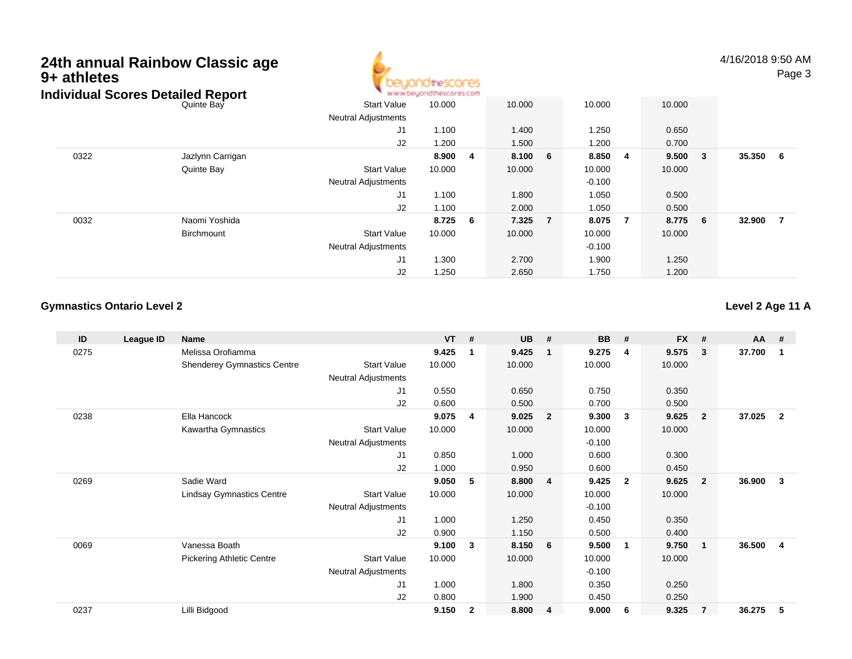## **24th annual Rainbow Classic age 9+ athletes**



4/16/2018 9:50 AMPage 3

|      | Individual Scores Detailed Report |                            | www.beyondthescores.com |                         |        |    |          |     |         |                |          |     |
|------|-----------------------------------|----------------------------|-------------------------|-------------------------|--------|----|----------|-----|---------|----------------|----------|-----|
|      | Quinte Bay                        | Start Value                | 10.000                  |                         | 10.000 |    | 10.000   |     | 10.000  |                |          |     |
|      |                                   | <b>Neutral Adjustments</b> |                         |                         |        |    |          |     |         |                |          |     |
|      |                                   | J1                         | 1.100                   |                         | 1.400  |    | 1.250    |     | 0.650   |                |          |     |
|      |                                   | J2                         | 1.200                   |                         | 1.500  |    | .200     |     | 0.700   |                |          |     |
| 0322 | Jazlynn Carrigan                  |                            | 8.900                   | $\overline{\mathbf{4}}$ | 8.100  | -6 | 8.850    | - 4 | 9.500   | 3 <sup>°</sup> | 35.350 6 |     |
|      | Quinte Bay                        | Start Value                | 10.000                  |                         | 10.000 |    | 10.000   |     | 10.000  |                |          |     |
|      |                                   | <b>Neutral Adjustments</b> |                         |                         |        |    | $-0.100$ |     |         |                |          |     |
|      |                                   | J1                         | 1.100                   |                         | 1.800  |    | 1.050    |     | 0.500   |                |          |     |
|      |                                   | J2                         | 1.100                   |                         | 2.000  |    | 1.050    |     | 0.500   |                |          |     |
| 0032 | Naomi Yoshida                     |                            | 8.725 6                 |                         | 7.325  | 7  | 8.075    | 7   | 8.775 6 |                | 32.900   | - 7 |
|      | Birchmount                        | <b>Start Value</b>         | 10.000                  |                         | 10.000 |    | 10.000   |     | 10.000  |                |          |     |
|      |                                   | <b>Neutral Adjustments</b> |                         |                         |        |    | $-0.100$ |     |         |                |          |     |
|      |                                   | J1                         | 1.300                   |                         | 2.700  |    | 1.900    |     | 1.250   |                |          |     |
|      |                                   | J2                         | 1.250                   |                         | 2.650  |    | 1.750    |     | 1.200   |                |          |     |

### **Gymnastics Ontario Level 2**

**Level 2 Age 11 A**

| ID   | League ID | <b>Name</b>                        |                            | VT     | #            | <b>UB</b> | #              | <b>BB</b> | #                       | <b>FX</b> | #              | <b>AA</b> | #            |
|------|-----------|------------------------------------|----------------------------|--------|--------------|-----------|----------------|-----------|-------------------------|-----------|----------------|-----------|--------------|
| 0275 |           | Melissa Orofiamma                  |                            | 9.425  | $\mathbf 1$  | 9.425     | $\mathbf{1}$   | 9.275     | 4                       | 9.575     | 3              | 37.700    | 1            |
|      |           | <b>Shenderey Gymnastics Centre</b> | <b>Start Value</b>         | 10.000 |              | 10.000    |                | 10.000    |                         | 10.000    |                |           |              |
|      |           |                                    | <b>Neutral Adjustments</b> |        |              |           |                |           |                         |           |                |           |              |
|      |           |                                    | J1                         | 0.550  |              | 0.650     |                | 0.750     |                         | 0.350     |                |           |              |
|      |           |                                    | J2                         | 0.600  |              | 0.500     |                | 0.700     |                         | 0.500     |                |           |              |
| 0238 |           | Ella Hancock                       |                            | 9.075  | 4            | 9.025     | $\overline{2}$ | 9.300     | $\mathbf{3}$            | 9.625     | $\overline{2}$ | 37.025    | $\mathbf{2}$ |
|      |           | Kawartha Gymnastics                | <b>Start Value</b>         | 10.000 |              | 10.000    |                | 10.000    |                         | 10.000    |                |           |              |
|      |           |                                    | <b>Neutral Adjustments</b> |        |              |           |                | $-0.100$  |                         |           |                |           |              |
|      |           |                                    | J <sub>1</sub>             | 0.850  |              | 1.000     |                | 0.600     |                         | 0.300     |                |           |              |
|      |           |                                    | J <sub>2</sub>             | 1.000  |              | 0.950     |                | 0.600     |                         | 0.450     |                |           |              |
| 0269 |           | Sadie Ward                         |                            | 9.050  | 5            | 8.800     | $\overline{4}$ | 9.425     | $\overline{\mathbf{2}}$ | 9.625     | $\overline{2}$ | 36.900    | 3            |
|      |           | <b>Lindsay Gymnastics Centre</b>   | <b>Start Value</b>         | 10.000 |              | 10.000    |                | 10.000    |                         | 10.000    |                |           |              |
|      |           |                                    | Neutral Adjustments        |        |              |           |                | $-0.100$  |                         |           |                |           |              |
|      |           |                                    | J <sub>1</sub>             | 1.000  |              | 1.250     |                | 0.450     |                         | 0.350     |                |           |              |
|      |           |                                    | J2                         | 0.900  |              | 1.150     |                | 0.500     |                         | 0.400     |                |           |              |
| 0069 |           | Vanessa Boath                      |                            | 9.100  | 3            | 8.150     | 6              | 9.500     | $\mathbf{1}$            | 9.750     | $\mathbf 1$    | 36.500    | 4            |
|      |           | <b>Pickering Athletic Centre</b>   | <b>Start Value</b>         | 10.000 |              | 10.000    |                | 10.000    |                         | 10.000    |                |           |              |
|      |           |                                    | <b>Neutral Adjustments</b> |        |              |           |                | $-0.100$  |                         |           |                |           |              |
|      |           |                                    | J1                         | 1.000  |              | 1.800     |                | 0.350     |                         | 0.250     |                |           |              |
|      |           |                                    | J <sub>2</sub>             | 0.800  |              | 1.900     |                | 0.450     |                         | 0.250     |                |           |              |
| 0237 |           | Lilli Bidgood                      |                            | 9.150  | $\mathbf{2}$ | 8.800     | $\overline{4}$ | 9.000     | 6                       | 9.325     | $\overline{7}$ | 36.275    | 5            |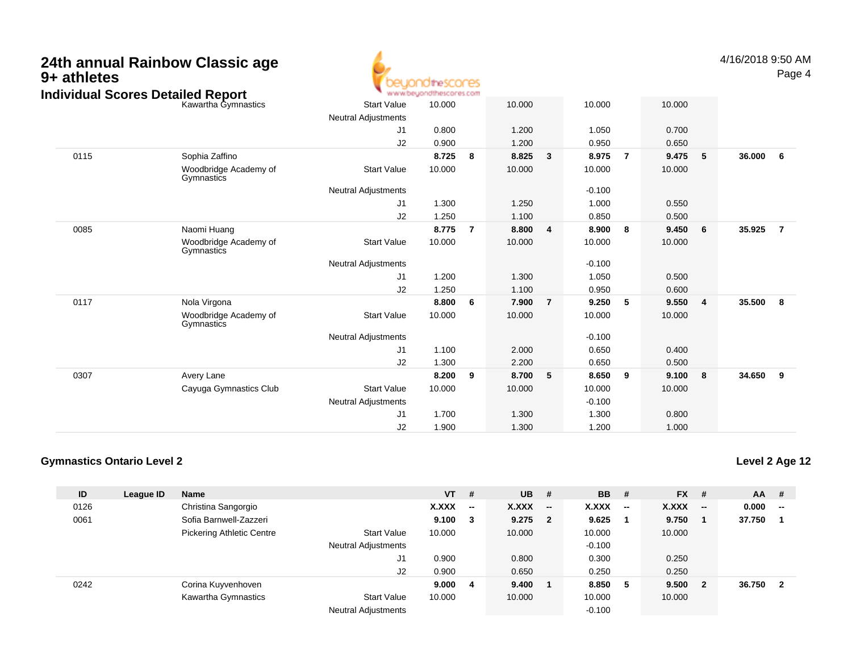| 9+ athletes | 24th annual Rainbow Classic age<br><b>Individual Scores Detailed Report</b> |                            | beyondthescores<br>www.beyondthescores.com |                |                |                |                |                |                |   | 4/16/2018 9:50 AM | Page 4         |
|-------------|-----------------------------------------------------------------------------|----------------------------|--------------------------------------------|----------------|----------------|----------------|----------------|----------------|----------------|---|-------------------|----------------|
|             | Kawartha Gymnastics                                                         | <b>Start Value</b>         | 10.000                                     |                | 10.000         |                | 10.000         |                | 10.000         |   |                   |                |
|             |                                                                             | <b>Neutral Adjustments</b> |                                            |                |                |                |                |                |                |   |                   |                |
|             |                                                                             | J1                         | 0.800                                      |                | 1.200          |                | 1.050          |                | 0.700          |   |                   |                |
| 0115        | Sophia Zaffino                                                              | J2                         | 0.900<br>8.725                             | - 8            | 1.200<br>8.825 | 3              | 0.950<br>8.975 | $\overline{7}$ | 0.650<br>9.475 | 5 | 36.000            | 6              |
|             | Woodbridge Academy of<br>Gymnastics                                         | <b>Start Value</b>         | 10.000                                     |                | 10.000         |                | 10.000         |                | 10.000         |   |                   |                |
|             |                                                                             | <b>Neutral Adjustments</b> |                                            |                |                |                | $-0.100$       |                |                |   |                   |                |
|             |                                                                             | J1                         | 1.300                                      |                | 1.250          |                | 1.000          |                | 0.550          |   |                   |                |
|             |                                                                             | J2                         | 1.250                                      |                | 1.100          |                | 0.850          |                | 0.500          |   |                   |                |
| 0085        | Naomi Huang                                                                 |                            | 8.775                                      | $\overline{7}$ | 8.800          | 4              | 8.900          | 8              | 9.450          | 6 | 35.925            | $\overline{7}$ |
|             | Woodbridge Academy of<br>Gymnastics                                         | <b>Start Value</b>         | 10.000                                     |                | 10.000         |                | 10.000         |                | 10.000         |   |                   |                |
|             |                                                                             | <b>Neutral Adjustments</b> |                                            |                |                |                | $-0.100$       |                |                |   |                   |                |
|             |                                                                             | J <sub>1</sub>             | 1.200                                      |                | 1.300          |                | 1.050          |                | 0.500          |   |                   |                |
|             |                                                                             | J2                         | 1.250                                      |                | 1.100          |                | 0.950          |                | 0.600          |   |                   |                |
| 0117        | Nola Virgona                                                                |                            | 8.800                                      | 6              | 7.900          | $\overline{7}$ | 9.250          | 5              | 9.550          | 4 | 35.500            | 8              |
|             | Woodbridge Academy of<br>Gymnastics                                         | <b>Start Value</b>         | 10.000                                     |                | 10.000         |                | 10.000         |                | 10.000         |   |                   |                |
|             |                                                                             | <b>Neutral Adjustments</b> |                                            |                |                |                | $-0.100$       |                |                |   |                   |                |
|             |                                                                             | J1                         | 1.100                                      |                | 2.000          |                | 0.650          |                | 0.400          |   |                   |                |
|             |                                                                             | J2                         | 1.300                                      |                | 2.200          |                | 0.650          |                | 0.500          |   |                   |                |
| 0307        | Avery Lane                                                                  |                            | 8.200                                      | - 9            | 8.700          | 5              | 8.650          | 9              | 9.100          | 8 | 34.650            | 9              |
|             | Cayuga Gymnastics Club                                                      | <b>Start Value</b>         | 10.000                                     |                | 10.000         |                | 10.000         |                | 10.000         |   |                   |                |
|             |                                                                             | <b>Neutral Adjustments</b> |                                            |                |                |                | $-0.100$       |                |                |   |                   |                |
|             |                                                                             | J <sub>1</sub>             | 1.700                                      |                | 1.300          |                | 1.300          |                | 0.800          |   |                   |                |
|             |                                                                             | J2                         | 1.900                                      |                | 1.300          |                | 1.200          |                | 1.000          |   |                   |                |

◢

#### **Gymnastics Ontario Level 2**

**ID League ID Name VT # UB # BB # FX # AA #** 0126 Christina Sangorgio **X.XXX -- X.XXX -- X.XXX -- X.XXX -- 0.000 --** 0061 Sofia Barnwell-Zazzeri **9.100 <sup>3</sup> 9.275 <sup>2</sup> 9.625 <sup>1</sup> 9.750 <sup>1</sup> 37.750 <sup>1</sup>** Pickering Athletic Centre Start Value 10.000 10.000 10.000 10.000 Neutral Adjustments $-0.100$ 0.300 J1 0.900 0.800 0.300 0.250 J2 0.900 0.650 0.250 0.250 0242 Corina Kuyvenhoven **9.000 <sup>4</sup> 9.400 <sup>1</sup> 8.850 <sup>5</sup> 9.500 <sup>2</sup> 36.750 <sup>2</sup>** Kawartha Gymnastics Start Valuee 10.000 10.000 10.000 10.000 Neutral Adjustments $-0.100$ 

## **Level 2 Age 12**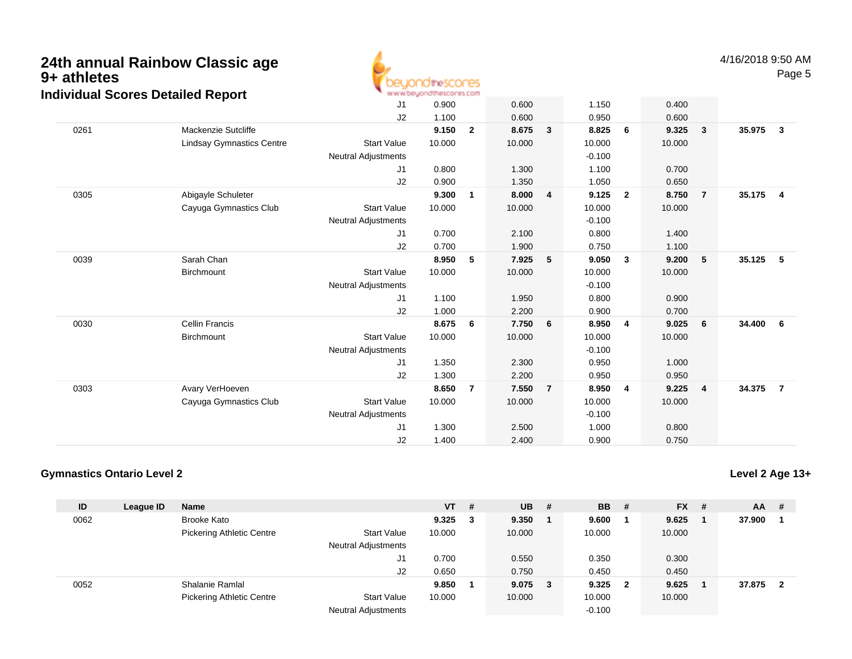

| arradar 000100 Dolanoa Roport    | J1                         | 0.900  |                | 0.600  |                | 1.150    |                | 0.400  |                |                |                         |
|----------------------------------|----------------------------|--------|----------------|--------|----------------|----------|----------------|--------|----------------|----------------|-------------------------|
|                                  | J2                         | 1.100  |                | 0.600  |                | 0.950    |                | 0.600  |                |                |                         |
| Mackenzie Sutcliffe              |                            | 9.150  | $\overline{2}$ | 8.675  | 3              | 8.825    | 6              | 9.325  | $\mathbf{3}$   | 35.975         | $\mathbf{3}$            |
| <b>Lindsay Gymnastics Centre</b> | <b>Start Value</b>         | 10.000 |                | 10.000 |                | 10.000   |                | 10.000 |                |                |                         |
|                                  | <b>Neutral Adjustments</b> |        |                |        |                | $-0.100$ |                |        |                |                |                         |
|                                  | J1                         | 0.800  |                | 1.300  |                | 1.100    |                | 0.700  |                |                |                         |
|                                  | J2                         | 0.900  |                | 1.350  |                | 1.050    |                | 0.650  |                |                |                         |
| Abigayle Schuleter               |                            | 9.300  | 1              | 8.000  | 4              | 9.125    | $\overline{2}$ | 8.750  |                | 35.175         | $\overline{\mathbf{4}}$ |
| Cayuga Gymnastics Club           | <b>Start Value</b>         | 10.000 |                | 10.000 |                | 10.000   |                | 10.000 |                |                |                         |
|                                  | <b>Neutral Adjustments</b> |        |                |        |                | $-0.100$ |                |        |                |                |                         |
|                                  | J1                         | 0.700  |                | 2.100  |                | 0.800    |                | 1.400  |                |                |                         |
|                                  | J2                         | 0.700  |                | 1.900  |                | 0.750    |                | 1.100  |                |                |                         |
| Sarah Chan                       |                            | 8.950  | 5              | 7.925  | 5              | 9.050    | $\mathbf{3}$   | 9.200  | 5              | 35.125         | - 5                     |
| Birchmount                       | <b>Start Value</b>         | 10.000 |                | 10.000 |                | 10.000   |                | 10.000 |                |                |                         |
|                                  | <b>Neutral Adjustments</b> |        |                |        |                | $-0.100$ |                |        |                |                |                         |
|                                  | J1                         | 1.100  |                | 1.950  |                | 0.800    |                | 0.900  |                |                |                         |
|                                  | J2                         | 1.000  |                | 2.200  |                | 0.900    |                | 0.700  |                |                |                         |
| <b>Cellin Francis</b>            |                            | 8.675  | 6              | 7.750  | 6              | 8.950    | 4              | 9.025  | 6              | 34.400         | - 6                     |
| Birchmount                       | <b>Start Value</b>         | 10.000 |                | 10.000 |                | 10.000   |                | 10.000 |                |                |                         |
|                                  | <b>Neutral Adjustments</b> |        |                |        |                | $-0.100$ |                |        |                |                |                         |
|                                  | J1                         | 1.350  |                | 2.300  |                | 0.950    |                | 1.000  |                |                |                         |
|                                  | J2                         | 1.300  |                | 2.200  |                | 0.950    |                | 0.950  |                |                |                         |
| Avary VerHoeven                  |                            | 8.650  | $\overline{7}$ | 7.550  | $\overline{7}$ | 8.950    | 4              | 9.225  | $\overline{4}$ | 34.375         | $\overline{7}$          |
| Cayuga Gymnastics Club           | <b>Start Value</b>         | 10.000 |                | 10.000 |                | 10.000   |                | 10.000 |                |                |                         |
|                                  | <b>Neutral Adjustments</b> |        |                |        |                | $-0.100$ |                |        |                |                |                         |
|                                  | J1                         | 1.300  |                | 2.500  |                | 1.000    |                | 0.800  |                |                |                         |
|                                  | J2                         | 1.400  |                | 2.400  |                | 0.900    |                | 0.750  |                |                |                         |
|                                  |                            |        |                |        |                |          |                |        |                | $\overline{7}$ |                         |

### **Gymnastics Ontario Level 2**

| ID   | League ID | <b>Name</b>                      |                            | $VT$ #          | $UB$ #      | <b>BB</b> # |                         | $FX$ # | <b>AA</b> | - #                     |
|------|-----------|----------------------------------|----------------------------|-----------------|-------------|-------------|-------------------------|--------|-----------|-------------------------|
| 0062 |           | <b>Brooke Kato</b>               |                            | $9.325 \quad 3$ | 9.350       | 9.600       |                         | 9.625  | 37.900    |                         |
|      |           | <b>Pickering Athletic Centre</b> | <b>Start Value</b>         | 10.000          | 10.000      | 10.000      |                         | 10.000 |           |                         |
|      |           |                                  | <b>Neutral Adjustments</b> |                 |             |             |                         |        |           |                         |
|      |           |                                  | J1                         | 0.700           | 0.550       | 0.350       |                         | 0.300  |           |                         |
|      |           |                                  | J2                         | 0.650           | 0.750       | 0.450       |                         | 0.450  |           |                         |
| 0052 |           | Shalanie Ramlal                  |                            | 9.850           | $9.075 \t3$ | 9.325       | $\overline{\mathbf{2}}$ | 9.625  | 37.875    | $\overline{\mathbf{2}}$ |
|      |           | <b>Pickering Athletic Centre</b> | <b>Start Value</b>         | 10.000          | 10.000      | 10.000      |                         | 10.000 |           |                         |
|      |           |                                  | <b>Neutral Adjustments</b> |                 |             | $-0.100$    |                         |        |           |                         |

## **Level 2 Age 13+**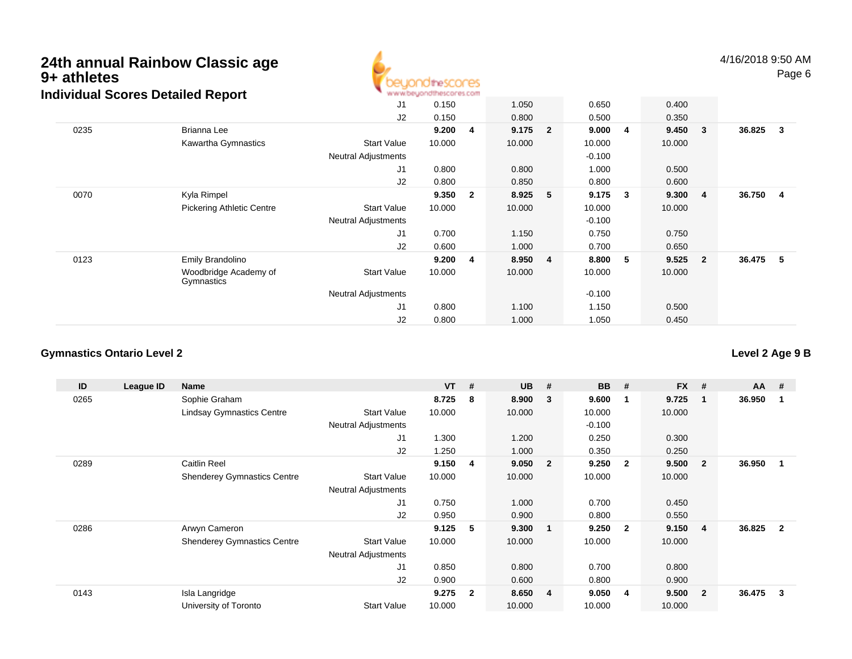

4/16/2018 9:50 AMPage 6

|      | arradar oooroo Bolanoa Roport       |                            |        |                |         |                |          |   |        |                         |        |              |
|------|-------------------------------------|----------------------------|--------|----------------|---------|----------------|----------|---|--------|-------------------------|--------|--------------|
|      |                                     | J <sub>1</sub>             | 0.150  |                | 1.050   |                | 0.650    |   | 0.400  |                         |        |              |
|      |                                     | J <sub>2</sub>             | 0.150  |                | 0.800   |                | 0.500    |   | 0.350  |                         |        |              |
| 0235 | Brianna Lee                         |                            | 9.200  | 4              | 9.175 2 |                | 9.000    | 4 | 9.450  | $\overline{\mathbf{3}}$ | 36.825 | $\mathbf{3}$ |
|      | Kawartha Gymnastics                 | <b>Start Value</b>         | 10.000 |                | 10.000  |                | 10.000   |   | 10.000 |                         |        |              |
|      |                                     | <b>Neutral Adjustments</b> |        |                |         |                | $-0.100$ |   |        |                         |        |              |
|      |                                     | J1                         | 0.800  |                | 0.800   |                | 1.000    |   | 0.500  |                         |        |              |
|      |                                     | J <sub>2</sub>             | 0.800  |                | 0.850   |                | 0.800    |   | 0.600  |                         |        |              |
| 0070 | Kyla Rimpel                         |                            | 9.350  | $\overline{2}$ | 8.925   | 5              | 9.175    | 3 | 9.300  | $\overline{4}$          | 36.750 | - 4          |
|      | <b>Pickering Athletic Centre</b>    | <b>Start Value</b>         | 10.000 |                | 10.000  |                | 10.000   |   | 10.000 |                         |        |              |
|      |                                     | <b>Neutral Adjustments</b> |        |                |         |                | $-0.100$ |   |        |                         |        |              |
|      |                                     | J1                         | 0.700  |                | 1.150   |                | 0.750    |   | 0.750  |                         |        |              |
|      |                                     | J <sub>2</sub>             | 0.600  |                | 1.000   |                | 0.700    |   | 0.650  |                         |        |              |
| 0123 | Emily Brandolino                    |                            | 9.200  | 4              | 8.950   | $\overline{4}$ | 8.800    | 5 | 9.525  | $\overline{\mathbf{2}}$ | 36.475 | - 5          |
|      | Woodbridge Academy of<br>Gymnastics | <b>Start Value</b>         | 10.000 |                | 10.000  |                | 10.000   |   | 10.000 |                         |        |              |
|      |                                     | <b>Neutral Adjustments</b> |        |                |         |                | $-0.100$ |   |        |                         |        |              |
|      |                                     | J1                         | 0.800  |                | 1.100   |                | 1.150    |   | 0.500  |                         |        |              |
|      |                                     | J <sub>2</sub>             | 0.800  |                | 1.000   |                | 1.050    |   | 0.450  |                         |        |              |

#### **Gymnastics Ontario Level 2**

| ID   | League ID | Name                               |                            | <b>VT</b> | #                       | <b>UB</b> | #                       | <b>BB</b> | #            | <b>FX</b> | #              | <b>AA</b> | - #          |
|------|-----------|------------------------------------|----------------------------|-----------|-------------------------|-----------|-------------------------|-----------|--------------|-----------|----------------|-----------|--------------|
| 0265 |           | Sophie Graham                      |                            | 8.725     | -8                      | 8.900     | 3                       | 9.600     | -1           | 9.725     | 1              | 36.950    |              |
|      |           | <b>Lindsay Gymnastics Centre</b>   | <b>Start Value</b>         | 10.000    |                         | 10.000    |                         | 10.000    |              | 10.000    |                |           |              |
|      |           |                                    | <b>Neutral Adjustments</b> |           |                         |           |                         | $-0.100$  |              |           |                |           |              |
|      |           |                                    | J1                         | 1.300     |                         | 1.200     |                         | 0.250     |              | 0.300     |                |           |              |
|      |           |                                    | J2                         | 1.250     |                         | 1.000     |                         | 0.350     |              | 0.250     |                |           |              |
| 0289 |           | <b>Caitlin Reel</b>                |                            | 9.150     | - 4                     | 9.050     | $\overline{\mathbf{2}}$ | 9.250     | $\mathbf{2}$ | 9.500     | $\mathbf{2}$   | 36.950    |              |
|      |           | <b>Shenderey Gymnastics Centre</b> | <b>Start Value</b>         | 10.000    |                         | 10.000    |                         | 10.000    |              | 10.000    |                |           |              |
|      |           |                                    | <b>Neutral Adjustments</b> |           |                         |           |                         |           |              |           |                |           |              |
|      |           |                                    | J <sub>1</sub>             | 0.750     |                         | 1.000     |                         | 0.700     |              | 0.450     |                |           |              |
|      |           |                                    | J <sub>2</sub>             | 0.950     |                         | 0.900     |                         | 0.800     |              | 0.550     |                |           |              |
| 0286 |           | Arwyn Cameron                      |                            | 9.125     | 5                       | 9.300     | $\overline{\mathbf{1}}$ | 9.250     | $\mathbf{2}$ | 9.150     | 4              | 36.825    | $\mathbf{2}$ |
|      |           | <b>Shenderey Gymnastics Centre</b> | <b>Start Value</b>         | 10.000    |                         | 10.000    |                         | 10.000    |              | 10.000    |                |           |              |
|      |           |                                    | <b>Neutral Adjustments</b> |           |                         |           |                         |           |              |           |                |           |              |
|      |           |                                    | J <sub>1</sub>             | 0.850     |                         | 0.800     |                         | 0.700     |              | 0.800     |                |           |              |
|      |           |                                    | J <sub>2</sub>             | 0.900     |                         | 0.600     |                         | 0.800     |              | 0.900     |                |           |              |
| 0143 |           | Isla Langridge                     |                            | 9.275     | $\overline{\mathbf{2}}$ | 8.650     | $\overline{4}$          | 9.050     | 4            | 9.500     | $\overline{2}$ | 36.475    | 3            |
|      |           | University of Toronto              | <b>Start Value</b>         | 10.000    |                         | 10.000    |                         | 10.000    |              | 10.000    |                |           |              |

## **Level 2 Age 9 B**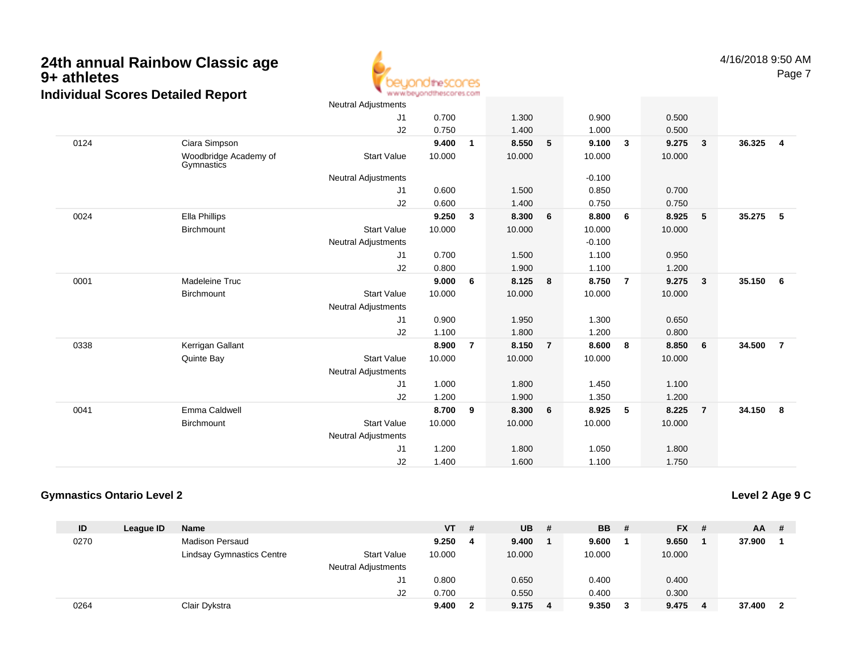the! res www.beyondthescores.com Neutral Adjustments

| 4/10/20 |
|---------|
|         |
|         |

|      |                                     | Neutral Adjustments        |        |                |        |                |          |                         |        |                         |        |                         |
|------|-------------------------------------|----------------------------|--------|----------------|--------|----------------|----------|-------------------------|--------|-------------------------|--------|-------------------------|
|      |                                     | J1                         | 0.700  |                | 1.300  |                | 0.900    |                         | 0.500  |                         |        |                         |
|      |                                     | J2                         | 0.750  |                | 1.400  |                | 1.000    |                         | 0.500  |                         |        |                         |
| 0124 | Ciara Simpson                       |                            | 9.400  | 1              | 8.550  | 5              | 9.100    | $\overline{\mathbf{3}}$ | 9.275  | $\overline{\mathbf{3}}$ | 36.325 | $\overline{\mathbf{4}}$ |
|      | Woodbridge Academy of<br>Gymnastics | <b>Start Value</b>         | 10.000 |                | 10.000 |                | 10.000   |                         | 10.000 |                         |        |                         |
|      |                                     | <b>Neutral Adjustments</b> |        |                |        |                | $-0.100$ |                         |        |                         |        |                         |
|      |                                     | J1                         | 0.600  |                | 1.500  |                | 0.850    |                         | 0.700  |                         |        |                         |
|      |                                     | J2                         | 0.600  |                | 1.400  |                | 0.750    |                         | 0.750  |                         |        |                         |
| 0024 | Ella Phillips                       |                            | 9.250  | 3              | 8.300  | 6              | 8.800    | 6                       | 8.925  | 5                       | 35.275 | 5                       |
|      | Birchmount                          | <b>Start Value</b>         | 10.000 |                | 10.000 |                | 10.000   |                         | 10.000 |                         |        |                         |
|      |                                     | <b>Neutral Adjustments</b> |        |                |        |                | $-0.100$ |                         |        |                         |        |                         |
|      |                                     | J1                         | 0.700  |                | 1.500  |                | 1.100    |                         | 0.950  |                         |        |                         |
|      |                                     | J2                         | 0.800  |                | 1.900  |                | 1.100    |                         | 1.200  |                         |        |                         |
| 0001 | Madeleine Truc                      |                            | 9.000  | 6              | 8.125  | 8              | 8.750    | $\overline{7}$          | 9.275  | - 3                     | 35.150 | 6                       |
|      | Birchmount                          | <b>Start Value</b>         | 10.000 |                | 10.000 |                | 10.000   |                         | 10.000 |                         |        |                         |
|      |                                     | <b>Neutral Adjustments</b> |        |                |        |                |          |                         |        |                         |        |                         |
|      |                                     | J <sub>1</sub>             | 0.900  |                | 1.950  |                | 1.300    |                         | 0.650  |                         |        |                         |
|      |                                     | J2                         | 1.100  |                | 1.800  |                | 1.200    |                         | 0.800  |                         |        |                         |
| 0338 | Kerrigan Gallant                    |                            | 8.900  | $\overline{7}$ | 8.150  | $\overline{7}$ | 8.600    | 8                       | 8.850  | 6                       | 34.500 | $\overline{7}$          |
|      | Quinte Bay                          | <b>Start Value</b>         | 10.000 |                | 10.000 |                | 10.000   |                         | 10.000 |                         |        |                         |
|      |                                     | <b>Neutral Adjustments</b> |        |                |        |                |          |                         |        |                         |        |                         |
|      |                                     | J1                         | 1.000  |                | 1.800  |                | 1.450    |                         | 1.100  |                         |        |                         |
|      |                                     | J2                         | 1.200  |                | 1.900  |                | 1.350    |                         | 1.200  |                         |        |                         |
| 0041 | Emma Caldwell                       |                            | 8.700  | 9              | 8.300  | 6              | 8.925    | 5                       | 8.225  | $\overline{7}$          | 34.150 | 8                       |
|      | Birchmount                          | <b>Start Value</b>         | 10.000 |                | 10.000 |                | 10.000   |                         | 10.000 |                         |        |                         |
|      |                                     | <b>Neutral Adjustments</b> |        |                |        |                |          |                         |        |                         |        |                         |
|      |                                     | J <sub>1</sub>             | 1.200  |                | 1.800  |                | 1.050    |                         | 1.800  |                         |        |                         |
|      |                                     | J <sub>2</sub>             | 1.400  |                | 1.600  |                | 1.100    |                         | 1.750  |                         |        |                         |
|      |                                     |                            |        |                |        |                |          |                         |        |                         |        |                         |

### **Gymnastics Ontario Level 2**

**Level 2 Age 9 C**

| ID   | League ID | <b>Name</b>               |                            | <b>VT</b> | # | <b>UB</b> | # | <b>BB</b> | - # | <b>FX</b> | - # | <b>AA</b> | # |
|------|-----------|---------------------------|----------------------------|-----------|---|-----------|---|-----------|-----|-----------|-----|-----------|---|
| 0270 |           | <b>Madison Persaud</b>    |                            | 9.250     | 4 | 9.400     |   | 9.600     |     | 9.650     |     | 37.900    |   |
|      |           | Lindsay Gymnastics Centre | <b>Start Value</b>         | 10.000    |   | 10.000    |   | 10.000    |     | 10.000    |     |           |   |
|      |           |                           | <b>Neutral Adjustments</b> |           |   |           |   |           |     |           |     |           |   |
|      |           |                           | J1                         | 0.800     |   | 0.650     |   | 0.400     |     | 0.400     |     |           |   |
|      |           |                           | J2                         | 0.700     |   | 0.550     |   | 0.400     |     | 0.300     |     |           |   |
| 0264 |           | Clair Dykstra             |                            | 9.400     | 2 | 9.175     | 4 | 9.350     |     | 9.475     | -4  | 37.400    |   |

4/16/2018 9:50 AMPage 7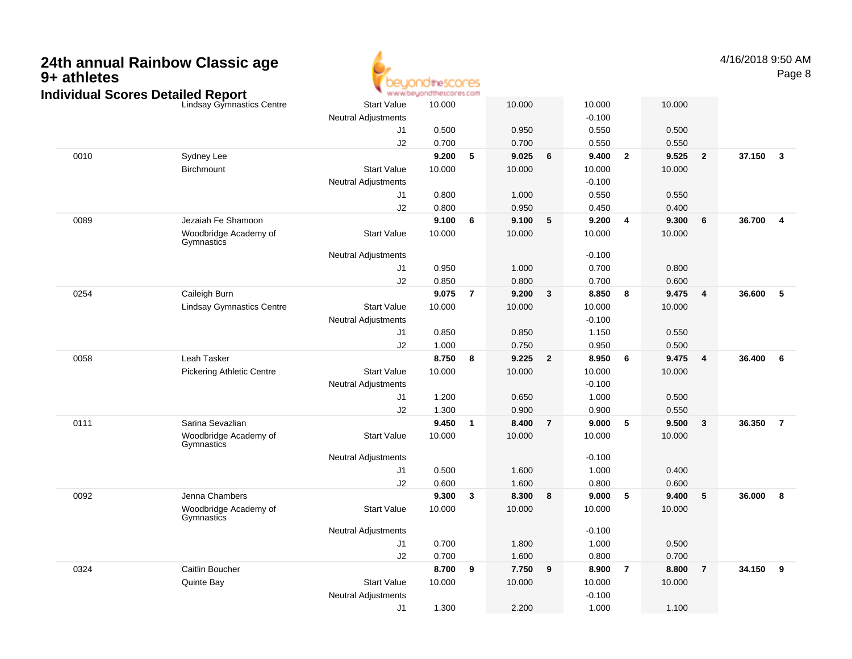## **24th annual Rainbow Classic age 9+ athletes**



4/16/2018 9:50 AMPage 8

|      | Individual Scores Detailed Report   | www.beyondthescores.com    |        |                         |        |                |          |              |        |                         |        |                         |
|------|-------------------------------------|----------------------------|--------|-------------------------|--------|----------------|----------|--------------|--------|-------------------------|--------|-------------------------|
|      | Lindsay Gymnastics Centre           | <b>Start Value</b>         | 10.000 |                         | 10.000 |                | 10.000   |              | 10.000 |                         |        |                         |
|      |                                     | <b>Neutral Adjustments</b> |        |                         |        |                | $-0.100$ |              |        |                         |        |                         |
|      |                                     | J <sub>1</sub>             | 0.500  |                         | 0.950  |                | 0.550    |              | 0.500  |                         |        |                         |
|      |                                     | J2                         | 0.700  |                         | 0.700  |                | 0.550    |              | 0.550  |                         |        |                         |
| 0010 | Sydney Lee                          |                            | 9.200  | 5                       | 9.025  | 6              | 9.400    | $\mathbf{2}$ | 9.525  | $\overline{\mathbf{2}}$ | 37.150 | $\mathbf{3}$            |
|      | Birchmount                          | <b>Start Value</b>         | 10.000 |                         | 10.000 |                | 10.000   |              | 10.000 |                         |        |                         |
|      |                                     | <b>Neutral Adjustments</b> |        |                         |        |                | $-0.100$ |              |        |                         |        |                         |
|      |                                     | J1                         | 0.800  |                         | 1.000  |                | 0.550    |              | 0.550  |                         |        |                         |
|      |                                     | J2                         | 0.800  |                         | 0.950  |                | 0.450    |              | 0.400  |                         |        |                         |
| 0089 | Jezaiah Fe Shamoon                  |                            | 9.100  | 6                       | 9.100  | 5              | 9.200    | 4            | 9.300  | 6                       | 36.700 | $\overline{\mathbf{4}}$ |
|      | Woodbridge Academy of<br>Gymnastics | <b>Start Value</b>         | 10.000 |                         | 10.000 |                | 10.000   |              | 10.000 |                         |        |                         |
|      |                                     | <b>Neutral Adjustments</b> |        |                         |        |                | $-0.100$ |              |        |                         |        |                         |
|      |                                     | J1                         | 0.950  |                         | 1.000  |                | 0.700    |              | 0.800  |                         |        |                         |
|      |                                     | J2                         | 0.850  |                         | 0.800  |                | 0.700    |              | 0.600  |                         |        |                         |
| 0254 | Caileigh Burn                       |                            | 9.075  | $\overline{7}$          | 9.200  | 3              | 8.850    | 8            | 9.475  | $\overline{4}$          | 36.600 | 5                       |
|      | <b>Lindsay Gymnastics Centre</b>    | <b>Start Value</b>         | 10.000 |                         | 10.000 |                | 10.000   |              | 10.000 |                         |        |                         |
|      |                                     | <b>Neutral Adjustments</b> |        |                         |        |                | $-0.100$ |              |        |                         |        |                         |
|      |                                     | J1                         | 0.850  |                         | 0.850  |                | 1.150    |              | 0.550  |                         |        |                         |
|      |                                     | J2                         | 1.000  |                         | 0.750  |                | 0.950    |              | 0.500  |                         |        |                         |
| 0058 | Leah Tasker                         |                            | 8.750  | 8                       | 9.225  | $\mathbf{2}$   | 8.950    | 6            | 9.475  | $\overline{\mathbf{4}}$ | 36.400 | 6                       |
|      | Pickering Athletic Centre           | <b>Start Value</b>         | 10.000 |                         | 10.000 |                | 10.000   |              | 10.000 |                         |        |                         |
|      |                                     | <b>Neutral Adjustments</b> |        |                         |        |                | $-0.100$ |              |        |                         |        |                         |
|      |                                     | J1                         | 1.200  |                         | 0.650  |                | 1.000    |              | 0.500  |                         |        |                         |
|      |                                     | J2                         | 1.300  |                         | 0.900  |                | 0.900    |              | 0.550  |                         |        |                         |
| 0111 | Sarina Sevazlian                    |                            | 9.450  | $\overline{\mathbf{1}}$ | 8.400  | $\overline{7}$ | 9.000    | 5            | 9.500  | $\mathbf{3}$            | 36.350 | $\overline{7}$          |
|      | Woodbridge Academy of<br>Gymnastics | <b>Start Value</b>         | 10.000 |                         | 10.000 |                | 10.000   |              | 10.000 |                         |        |                         |
|      |                                     | <b>Neutral Adjustments</b> |        |                         |        |                | $-0.100$ |              |        |                         |        |                         |
|      |                                     | J1                         | 0.500  |                         | 1.600  |                | 1.000    |              | 0.400  |                         |        |                         |
|      |                                     | J2                         | 0.600  |                         | 1.600  |                | 0.800    |              | 0.600  |                         |        |                         |
| 0092 | Jenna Chambers                      |                            | 9.300  | $\boldsymbol{3}$        | 8.300  | 8              | 9.000    | 5            | 9.400  | 5                       | 36.000 | 8                       |
|      | Woodbridge Academy of<br>Gymnastics | <b>Start Value</b>         | 10.000 |                         | 10.000 |                | 10.000   |              | 10.000 |                         |        |                         |
|      |                                     | <b>Neutral Adjustments</b> |        |                         |        |                | $-0.100$ |              |        |                         |        |                         |
|      |                                     | J1                         | 0.700  |                         | 1.800  |                | 1.000    |              | 0.500  |                         |        |                         |
|      |                                     | J2                         | 0.700  |                         | 1.600  |                | 0.800    |              | 0.700  |                         |        |                         |
| 0324 | Caitlin Boucher                     |                            | 8.700  | 9                       | 7.750  | 9              | 8.900    | 7            | 8.800  | 7                       | 34.150 | 9                       |
|      | Quinte Bay                          | <b>Start Value</b>         | 10.000 |                         | 10.000 |                | 10.000   |              | 10.000 |                         |        |                         |
|      |                                     | <b>Neutral Adjustments</b> |        |                         |        |                | $-0.100$ |              |        |                         |        |                         |
|      |                                     | J1                         | 1.300  |                         | 2.200  |                | 1.000    |              | 1.100  |                         |        |                         |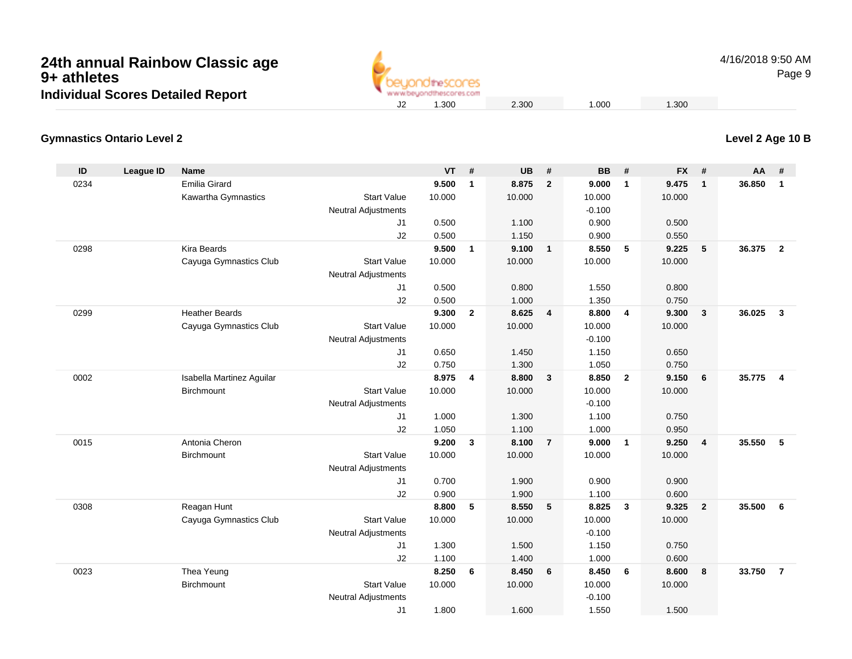

4/16/2018 9:50 AMPage 9

## **Level 2 Age 10 B**

#### **Gymnastics Ontario Level 2**

| ID   | <b>League ID</b> | <b>Name</b>               |                            | <b>VT</b> | #              | <b>UB</b> | #                       | <b>BB</b> | #                       | <b>FX</b> | #              | <b>AA</b> | #              |
|------|------------------|---------------------------|----------------------------|-----------|----------------|-----------|-------------------------|-----------|-------------------------|-----------|----------------|-----------|----------------|
| 0234 |                  | Emilia Girard             |                            | 9.500     | $\mathbf{1}$   | 8.875     | $\overline{2}$          | 9.000     | $\mathbf{1}$            | 9.475     | $\mathbf{1}$   | 36.850    | $\overline{1}$ |
|      |                  | Kawartha Gymnastics       | <b>Start Value</b>         | 10.000    |                | 10.000    |                         | 10.000    |                         | 10.000    |                |           |                |
|      |                  |                           | <b>Neutral Adjustments</b> |           |                |           |                         | $-0.100$  |                         |           |                |           |                |
|      |                  |                           | J1                         | 0.500     |                | 1.100     |                         | 0.900     |                         | 0.500     |                |           |                |
|      |                  |                           | J2                         | 0.500     |                | 1.150     |                         | 0.900     |                         | 0.550     |                |           |                |
| 0298 |                  | Kira Beards               |                            | 9.500     | $\mathbf{1}$   | 9.100     | $\overline{1}$          | 8.550     | 5                       | 9.225     | $\sqrt{5}$     | 36.375    | $\overline{2}$ |
|      |                  | Cayuga Gymnastics Club    | <b>Start Value</b>         | 10.000    |                | 10.000    |                         | 10.000    |                         | 10.000    |                |           |                |
|      |                  |                           | <b>Neutral Adjustments</b> |           |                |           |                         |           |                         |           |                |           |                |
|      |                  |                           | J1                         | 0.500     |                | 0.800     |                         | 1.550     |                         | 0.800     |                |           |                |
|      |                  |                           | J2                         | 0.500     |                | 1.000     |                         | 1.350     |                         | 0.750     |                |           |                |
| 0299 |                  | <b>Heather Beards</b>     |                            | 9.300     | $\overline{2}$ | 8.625     | $\overline{4}$          | 8.800     | $\overline{4}$          | 9.300     | $\mathbf{3}$   | 36.025    | $\mathbf{3}$   |
|      |                  | Cayuga Gymnastics Club    | <b>Start Value</b>         | 10.000    |                | 10.000    |                         | 10.000    |                         | 10.000    |                |           |                |
|      |                  |                           | <b>Neutral Adjustments</b> |           |                |           |                         | $-0.100$  |                         |           |                |           |                |
|      |                  |                           | J1                         | 0.650     |                | 1.450     |                         | 1.150     |                         | 0.650     |                |           |                |
|      |                  |                           | J2                         | 0.750     |                | 1.300     |                         | 1.050     |                         | 0.750     |                |           |                |
| 0002 |                  | Isabella Martinez Aguilar |                            | 8.975     | 4              | 8.800     | $\overline{\mathbf{3}}$ | 8.850     | $\overline{2}$          | 9.150     | 6              | 35.775    | $\overline{4}$ |
|      |                  | <b>Birchmount</b>         | <b>Start Value</b>         | 10.000    |                | 10.000    |                         | 10.000    |                         | 10.000    |                |           |                |
|      |                  |                           | <b>Neutral Adjustments</b> |           |                |           |                         | $-0.100$  |                         |           |                |           |                |
|      |                  |                           | J1                         | 1.000     |                | 1.300     |                         | 1.100     |                         | 0.750     |                |           |                |
|      |                  |                           | J2                         | 1.050     |                | 1.100     |                         | 1.000     |                         | 0.950     |                |           |                |
| 0015 |                  | Antonia Cheron            |                            | 9.200     | 3              | 8.100     | $\overline{7}$          | 9.000     | $\mathbf{1}$            | 9.250     | 4              | 35.550    | 5              |
|      |                  | Birchmount                | <b>Start Value</b>         | 10.000    |                | 10.000    |                         | 10.000    |                         | 10.000    |                |           |                |
|      |                  |                           | <b>Neutral Adjustments</b> |           |                |           |                         |           |                         |           |                |           |                |
|      |                  |                           | J1                         | 0.700     |                | 1.900     |                         | 0.900     |                         | 0.900     |                |           |                |
|      |                  |                           | J2                         | 0.900     |                | 1.900     |                         | 1.100     |                         | 0.600     |                |           |                |
| 0308 |                  | Reagan Hunt               |                            | 8.800     | 5              | 8.550     | 5                       | 8.825     | $\overline{\mathbf{3}}$ | 9.325     | $\overline{2}$ | 35.500    | - 6            |
|      |                  | Cayuga Gymnastics Club    | <b>Start Value</b>         | 10.000    |                | 10.000    |                         | 10.000    |                         | 10.000    |                |           |                |
|      |                  |                           | <b>Neutral Adjustments</b> |           |                |           |                         | $-0.100$  |                         |           |                |           |                |
|      |                  |                           | J1                         | 1.300     |                | 1.500     |                         | 1.150     |                         | 0.750     |                |           |                |
|      |                  |                           | J2                         | 1.100     |                | 1.400     |                         | 1.000     |                         | 0.600     |                |           |                |
| 0023 |                  | Thea Yeung                |                            | 8.250     | 6              | 8.450     | 6                       | 8.450     | 6                       | 8.600     | 8              | 33.750    | $\overline{7}$ |
|      |                  | <b>Birchmount</b>         | <b>Start Value</b>         | 10.000    |                | 10.000    |                         | 10.000    |                         | 10.000    |                |           |                |
|      |                  |                           | <b>Neutral Adjustments</b> |           |                |           |                         | $-0.100$  |                         |           |                |           |                |
|      |                  |                           | J <sub>1</sub>             | 1.800     |                | 1.600     |                         | 1.550     |                         | 1.500     |                |           |                |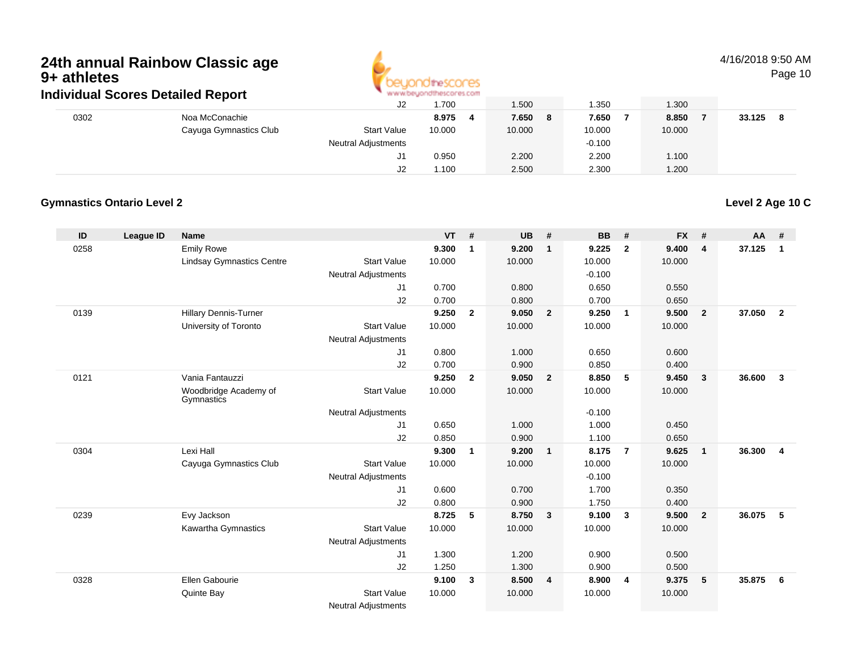

### 4/16/2018 9:50 AM

Page 10

| ingividual Scores Detalled Report |                        |                            | ALAM AN' DISAPPLINE SO IL MESC'OL ISLE COLLE |             |          |        |        |  |  |
|-----------------------------------|------------------------|----------------------------|----------------------------------------------|-------------|----------|--------|--------|--|--|
|                                   |                        | J2                         | 1.700                                        | 1.500       | 1.350    | 1.300  |        |  |  |
| 0302                              | Noa McConachie         |                            | 8.975                                        | 7.650<br>-8 | 7.650    | 8.850  | 33.125 |  |  |
|                                   | Cayuga Gymnastics Club | <b>Start Value</b>         | 10.000                                       | 10.000      | 10.000   | 10.000 |        |  |  |
|                                   |                        | <b>Neutral Adjustments</b> |                                              |             | $-0.100$ |        |        |  |  |
|                                   |                        |                            | 0.950                                        | 2.200       | 2.200    | 1.100  |        |  |  |
|                                   |                        | J2                         | .100                                         | 2.500       | 2.300    | 1.200  |        |  |  |

#### **Gymnastics Ontario Level 2**

**ID League ID Name VT # UB # BB # FX # AA #** 0258 Emily Rowe **9.300 <sup>1</sup> 9.200 <sup>1</sup> 9.225 <sup>2</sup> 9.400 <sup>4</sup> 37.125 <sup>1</sup>** Lindsay Gymnastics Centre Start Value 10.000 10.000 10.000 10.000 Neutral Adjustments $-0.100$ 0.650 J1 0.700 0.800 0.650 0.550 J2 0.700 0.800 0.700 0.650 0139 Hillary Dennis-Turner **9.250 <sup>2</sup> 9.050 <sup>2</sup> 9.250 <sup>1</sup> 9.500 <sup>2</sup> 37.050 <sup>2</sup>** University of Toronto Start Value 10.000 10.000 10.000 10.000 Neutral Adjustments J1 0.800 1.000 0.650 0.600 J2 0.700 0.900 0.850 0.400 0121 Vania Fantauzzi **9.250 <sup>2</sup> 9.050 <sup>2</sup> 8.850 <sup>5</sup> 9.450 <sup>3</sup> 36.600 <sup>3</sup>** Woodbridge Academy of**Gymnastics** Start Valuee 10.000 10.000 10.000 10.000 Neutral Adjustments $-0.100$ 1.000 J1 0.650 1.000 1.000 0.450 J2 0.850 0.900 1.100 0.650 0304 Lexi Hall **9.300 <sup>1</sup> 9.200 <sup>1</sup> 8.175 <sup>7</sup> 9.625 <sup>1</sup> 36.300 <sup>4</sup>** Cayuga Gymnastics Club Start Value 10.000 10.000 10.000 10.000 Neutral Adjustments $-0.100$ 1.700 J1 0.600 0.700 1.700 0.350 J2 0.800 0.900 1.750 0.400 0239 Evy Jackson **8.725 <sup>5</sup> 8.750 <sup>3</sup> 9.100 <sup>3</sup> 9.500 <sup>2</sup> 36.075 <sup>5</sup>** Kawartha Gymnastics Start Valuee 10.000 10.000 10.000 10.000 Neutral Adjustments J1 1.300 1.200 0.900 0.500 J2 1.250 1.300 0.900 0.500 0328 Ellen Gabourie **9.100 <sup>3</sup> 8.500 <sup>4</sup> 8.900 <sup>4</sup> 9.375 <sup>5</sup> 35.875 <sup>6</sup>** Quinte Bay Start Valuee 10.000 10.000 10.000 10.000 Neutral Adjustments

**Level 2 Age 10 C**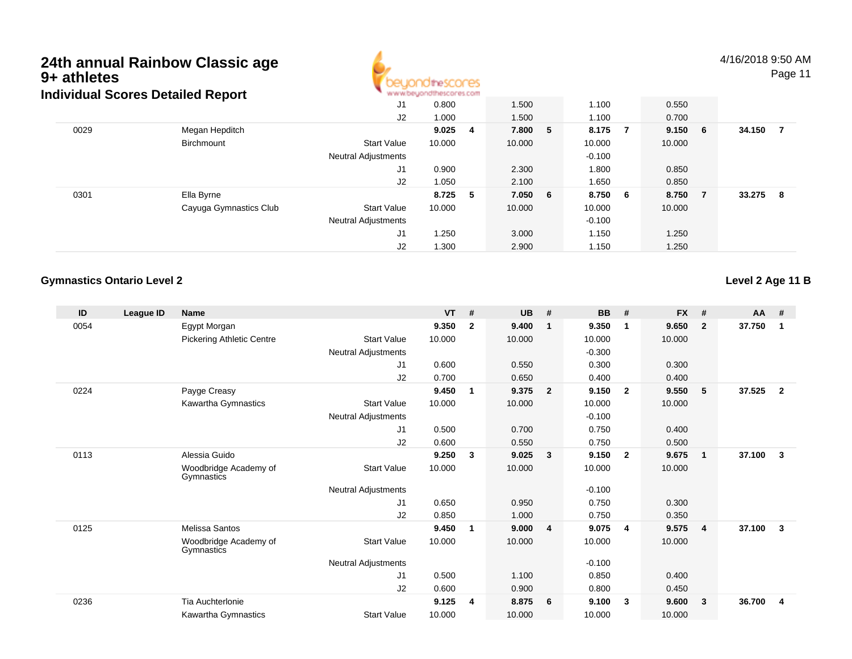

4/16/2018 9:50 AM

Page 11

| idividual Scores Detailed Report |                        | <b>M.M.MCAMANI INTERNATI ILIYOTTI</b> |         |   |         |  |          |                |        |     |        |    |
|----------------------------------|------------------------|---------------------------------------|---------|---|---------|--|----------|----------------|--------|-----|--------|----|
|                                  |                        | J1                                    | 0.800   |   | 1.500   |  | 1.100    |                | 0.550  |     |        |    |
|                                  |                        | J2                                    | 1.000   |   | 1.500   |  | 1.100    |                | 0.700  |     |        |    |
| 0029                             | Megan Hepditch         |                                       | 9.025   | 4 | 7.800 5 |  | 8.175    | $\overline{7}$ | 9.150  | - 6 | 34.150 | 7  |
|                                  | Birchmount             | <b>Start Value</b>                    | 10.000  |   | 10.000  |  | 10.000   |                | 10.000 |     |        |    |
|                                  |                        | <b>Neutral Adjustments</b>            |         |   |         |  | $-0.100$ |                |        |     |        |    |
|                                  |                        | J1                                    | 0.900   |   | 2.300   |  | 1.800    |                | 0.850  |     |        |    |
|                                  |                        | J2                                    | 1.050   |   | 2.100   |  | 1.650    |                | 0.850  |     |        |    |
| 0301                             | Ella Byrne             |                                       | 8.725 5 |   | 7.050 6 |  | 8.750 6  |                | 8.750  | - 7 | 33.275 | -8 |
|                                  | Cayuga Gymnastics Club | <b>Start Value</b>                    | 10.000  |   | 10.000  |  | 10.000   |                | 10.000 |     |        |    |
|                                  |                        | <b>Neutral Adjustments</b>            |         |   |         |  | $-0.100$ |                |        |     |        |    |
|                                  |                        | J1                                    | 1.250   |   | 3.000   |  | 1.150    |                | 1.250  |     |        |    |
|                                  |                        | J2                                    | 1.300   |   | 2.900   |  | 1.150    |                | 1.250  |     |        |    |

### **Gymnastics Ontario Level 2**

**Level 2 Age 11 B**

| ID   | League ID | <b>Name</b>                         |                     | <b>VT</b> | #            | <b>UB</b> | #                       | <b>BB</b> | #                       | <b>FX</b> | #            | $AA$ # |              |
|------|-----------|-------------------------------------|---------------------|-----------|--------------|-----------|-------------------------|-----------|-------------------------|-----------|--------------|--------|--------------|
| 0054 |           | Egypt Morgan                        |                     | 9.350     | $\mathbf{2}$ | 9.400     | $\overline{\mathbf{1}}$ | 9.350     | $\mathbf{1}$            | 9.650     | $\mathbf{2}$ | 37.750 | 1            |
|      |           | <b>Pickering Athletic Centre</b>    | <b>Start Value</b>  | 10.000    |              | 10.000    |                         | 10.000    |                         | 10.000    |              |        |              |
|      |           |                                     | Neutral Adjustments |           |              |           |                         | $-0.300$  |                         |           |              |        |              |
|      |           |                                     | J <sub>1</sub>      | 0.600     |              | 0.550     |                         | 0.300     |                         | 0.300     |              |        |              |
|      |           |                                     | J2                  | 0.700     |              | 0.650     |                         | 0.400     |                         | 0.400     |              |        |              |
| 0224 |           | Payge Creasy                        |                     | 9.450     | 1            | 9.375     | $\overline{\mathbf{2}}$ | 9.150     | $\overline{\mathbf{2}}$ | 9.550     | 5            | 37.525 | $\mathbf{2}$ |
|      |           | Kawartha Gymnastics                 | <b>Start Value</b>  | 10.000    |              | 10.000    |                         | 10.000    |                         | 10.000    |              |        |              |
|      |           |                                     | Neutral Adjustments |           |              |           |                         | $-0.100$  |                         |           |              |        |              |
|      |           |                                     | J1                  | 0.500     |              | 0.700     |                         | 0.750     |                         | 0.400     |              |        |              |
|      |           |                                     | J <sub>2</sub>      | 0.600     |              | 0.550     |                         | 0.750     |                         | 0.500     |              |        |              |
| 0113 |           | Alessia Guido                       |                     | 9.250     | 3            | 9.025     | $\overline{\mathbf{3}}$ | 9.150     | $\overline{\mathbf{2}}$ | 9.675     | $\mathbf{1}$ | 37.100 | $\mathbf{3}$ |
|      |           | Woodbridge Academy of<br>Gymnastics | <b>Start Value</b>  | 10.000    |              | 10.000    |                         | 10.000    |                         | 10.000    |              |        |              |
|      |           |                                     | Neutral Adjustments |           |              |           |                         | $-0.100$  |                         |           |              |        |              |
|      |           |                                     | J1                  | 0.650     |              | 0.950     |                         | 0.750     |                         | 0.300     |              |        |              |
|      |           |                                     | J <sub>2</sub>      | 0.850     |              | 1.000     |                         | 0.750     |                         | 0.350     |              |        |              |
| 0125 |           | Melissa Santos                      |                     | 9.450     | 1            | 9.000     | $\overline{4}$          | 9.075     | $\overline{4}$          | 9.575     | 4            | 37.100 | 3            |
|      |           | Woodbridge Academy of<br>Gymnastics | <b>Start Value</b>  | 10.000    |              | 10.000    |                         | 10.000    |                         | 10.000    |              |        |              |
|      |           |                                     | Neutral Adjustments |           |              |           |                         | $-0.100$  |                         |           |              |        |              |
|      |           |                                     | J1                  | 0.500     |              | 1.100     |                         | 0.850     |                         | 0.400     |              |        |              |
|      |           |                                     | J2                  | 0.600     |              | 0.900     |                         | 0.800     |                         | 0.450     |              |        |              |
| 0236 |           | Tia Auchterlonie                    |                     | 9.125     | 4            | 8.875     | - 6                     | 9.100     | -3                      | 9.600     | 3            | 36.700 | 4            |
|      |           | Kawartha Gymnastics                 | <b>Start Value</b>  | 10.000    |              | 10.000    |                         | 10.000    |                         | 10.000    |              |        |              |